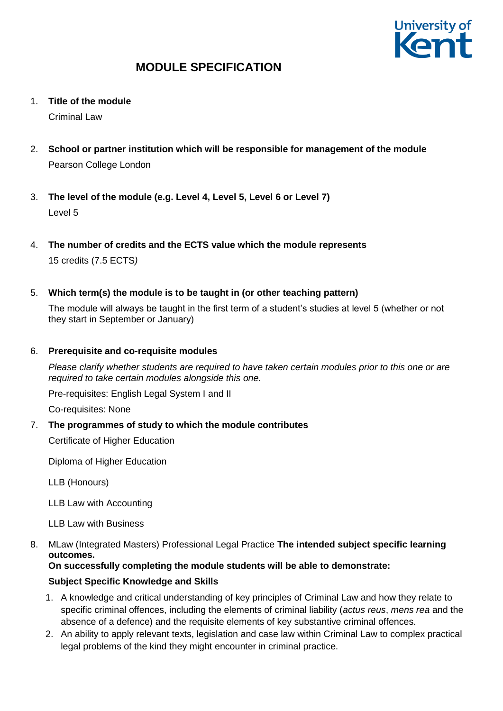

1. **Title of the module**

Criminal Law

- 2. **School or partner institution which will be responsible for management of the module** Pearson College London
- 3. **The level of the module (e.g. Level 4, Level 5, Level 6 or Level 7)** Level 5
- 4. **The number of credits and the ECTS value which the module represents**  15 credits (7.5 ECTS*)*
- 5. **Which term(s) the module is to be taught in (or other teaching pattern)**

The module will always be taught in the first term of a student's studies at level 5 (whether or not they start in September or January)

### 6. **Prerequisite and co-requisite modules**

*Please clarify whether students are required to have taken certain modules prior to this one or are required to take certain modules alongside this one.*

Pre-requisites: English Legal System I and II

Co-requisites: None

7. **The programmes of study to which the module contributes**

Certificate of Higher Education

Diploma of Higher Education

LLB (Honours)

LLB Law with Accounting

LLB Law with Business

8. MLaw (Integrated Masters) Professional Legal Practice **The intended subject specific learning outcomes.**

## **On successfully completing the module students will be able to demonstrate:**

### **Subject Specific Knowledge and Skills**

- 1. A knowledge and critical understanding of key principles of Criminal Law and how they relate to specific criminal offences, including the elements of criminal liability (*actus reus*, *mens rea* and the absence of a defence) and the requisite elements of key substantive criminal offences.
- 2. An ability to apply relevant texts, legislation and case law within Criminal Law to complex practical legal problems of the kind they might encounter in criminal practice.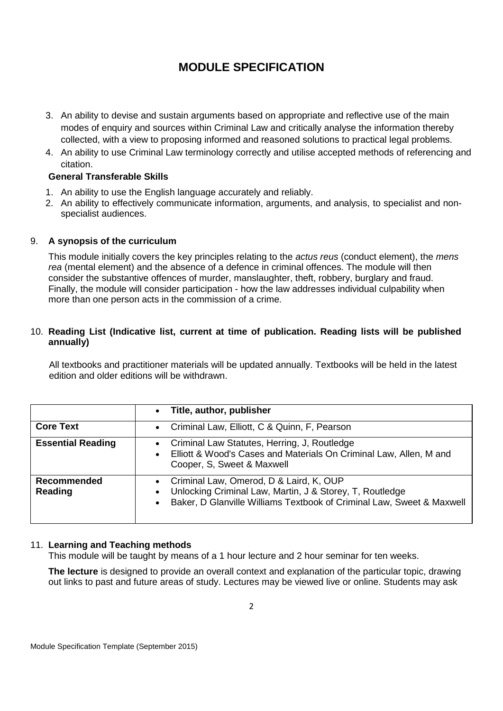- 3. An ability to devise and sustain arguments based on appropriate and reflective use of the main modes of enquiry and sources within Criminal Law and critically analyse the information thereby collected, with a view to proposing informed and reasoned solutions to practical legal problems.
- 4. An ability to use Criminal Law terminology correctly and utilise accepted methods of referencing and citation.

### **General Transferable Skills**

- 1. An ability to use the English language accurately and reliably.
- 2. An ability to effectively communicate information, arguments, and analysis, to specialist and nonspecialist audiences.

### 9. **A synopsis of the curriculum**

This module initially covers the key principles relating to the *actus reus* (conduct element), the *mens rea* (mental element) and the absence of a defence in criminal offences. The module will then consider the substantive offences of murder, manslaughter, theft, robbery, burglary and fraud. Finally, the module will consider participation - how the law addresses individual culpability when more than one person acts in the commission of a crime.

### 10. **Reading List (Indicative list, current at time of publication. Reading lists will be published annually)**

All textbooks and practitioner materials will be updated annually. Textbooks will be held in the latest edition and older editions will be withdrawn.

|                          | Title, author, publisher<br>$\bullet$                                                                                                                                                                               |
|--------------------------|---------------------------------------------------------------------------------------------------------------------------------------------------------------------------------------------------------------------|
| <b>Core Text</b>         | Criminal Law, Elliott, C & Quinn, F, Pearson<br>$\bullet$                                                                                                                                                           |
| <b>Essential Reading</b> | Criminal Law Statutes, Herring, J, Routledge<br>$\bullet$<br>Elliott & Wood's Cases and Materials On Criminal Law, Allen, M and<br>$\bullet$<br>Cooper, S, Sweet & Maxwell                                          |
| Recommended<br>Reading   | Criminal Law, Omerod, D & Laird, K, OUP<br>$\bullet$<br>Unlocking Criminal Law, Martin, J & Storey, T, Routledge<br>$\bullet$<br>Baker, D Glanville Williams Textbook of Criminal Law, Sweet & Maxwell<br>$\bullet$ |

### 11. **Learning and Teaching methods**

This module will be taught by means of a 1 hour lecture and 2 hour seminar for ten weeks.

**The lecture** is designed to provide an overall context and explanation of the particular topic, drawing out links to past and future areas of study. Lectures may be viewed live or online. Students may ask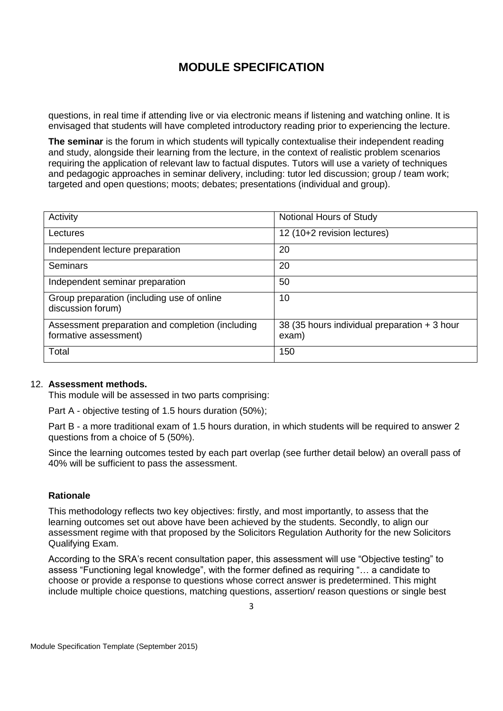questions, in real time if attending live or via electronic means if listening and watching online. It is envisaged that students will have completed introductory reading prior to experiencing the lecture.

**The seminar** is the forum in which students will typically contextualise their independent reading and study, alongside their learning from the lecture, in the context of realistic problem scenarios requiring the application of relevant law to factual disputes. Tutors will use a variety of techniques and pedagogic approaches in seminar delivery, including: tutor led discussion; group / team work; targeted and open questions; moots; debates; presentations (individual and group).

| Activity                                                                  | Notional Hours of Study                               |
|---------------------------------------------------------------------------|-------------------------------------------------------|
| Lectures                                                                  | 12 (10+2 revision lectures)                           |
| Independent lecture preparation                                           | 20                                                    |
| Seminars                                                                  | 20                                                    |
| Independent seminar preparation                                           | 50                                                    |
| Group preparation (including use of online<br>discussion forum)           | 10                                                    |
| Assessment preparation and completion (including<br>formative assessment) | 38 (35 hours individual preparation + 3 hour<br>exam) |
| Total                                                                     | 150                                                   |

#### 12. **Assessment methods.**

This module will be assessed in two parts comprising:

Part A - objective testing of 1.5 hours duration (50%);

Part B - a more traditional exam of 1.5 hours duration, in which students will be required to answer 2 questions from a choice of 5 (50%).

Since the learning outcomes tested by each part overlap (see further detail below) an overall pass of 40% will be sufficient to pass the assessment.

### **Rationale**

This methodology reflects two key objectives: firstly, and most importantly, to assess that the learning outcomes set out above have been achieved by the students. Secondly, to align our assessment regime with that proposed by the Solicitors Regulation Authority for the new Solicitors Qualifying Exam.

According to the SRA's recent consultation paper, this assessment will use "Objective testing" to assess "Functioning legal knowledge", with the former defined as requiring "… a candidate to choose or provide a response to questions whose correct answer is predetermined. This might include multiple choice questions, matching questions, assertion/ reason questions or single best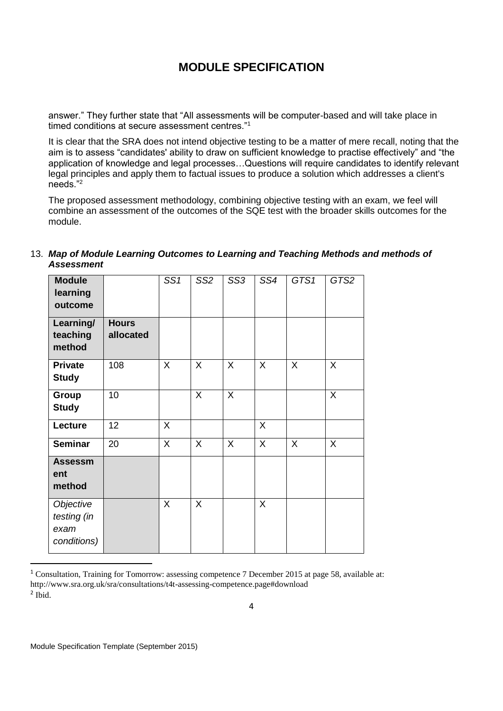answer." They further state that "All assessments will be computer-based and will take place in timed conditions at secure assessment centres."<sup>1</sup>

It is clear that the SRA does not intend objective testing to be a matter of mere recall, noting that the aim is to assess "candidates' ability to draw on sufficient knowledge to practise effectively" and "the application of knowledge and legal processes…Questions will require candidates to identify relevant legal principles and apply them to factual issues to produce a solution which addresses a client's needs."<sup>2</sup>

The proposed assessment methodology, combining objective testing with an exam, we feel will combine an assessment of the outcomes of the SQE test with the broader skills outcomes for the module.

| <b>Module</b><br>learning<br>outcome            |                           | SS <sub>1</sub> | SS <sub>2</sub> | SS <sub>3</sub> | SS4          | GTS1    | GTS2         |
|-------------------------------------------------|---------------------------|-----------------|-----------------|-----------------|--------------|---------|--------------|
| Learning/<br>teaching<br>method                 | <b>Hours</b><br>allocated |                 |                 |                 |              |         |              |
| <b>Private</b><br><b>Study</b>                  | 108                       | $\sf X$         | X               | $\sf X$         | $\sf X$      | $\sf X$ | X            |
| Group<br><b>Study</b>                           | 10                        |                 | X               | X               |              |         | X            |
| Lecture                                         | 12                        | X               |                 |                 | $\mathsf{X}$ |         |              |
| <b>Seminar</b>                                  | 20                        | X               | X               | $\mathsf{X}$    | $\mathsf{X}$ | $\sf X$ | $\mathsf{X}$ |
| <b>Assessm</b><br>ent<br>method                 |                           |                 |                 |                 |              |         |              |
| Objective<br>testing (in<br>exam<br>conditions) |                           | X               | X               |                 | $\mathsf{X}$ |         |              |

### 13. *Map of Module Learning Outcomes to Learning and Teaching Methods and methods of Assessment*

1

<sup>&</sup>lt;sup>1</sup> Consultation, Training for Tomorrow: assessing competence 7 December 2015 at page 58, available at: http://www.sra.org.uk/sra/consultations/t4t-assessing-competence.page#download 2 Ibid.